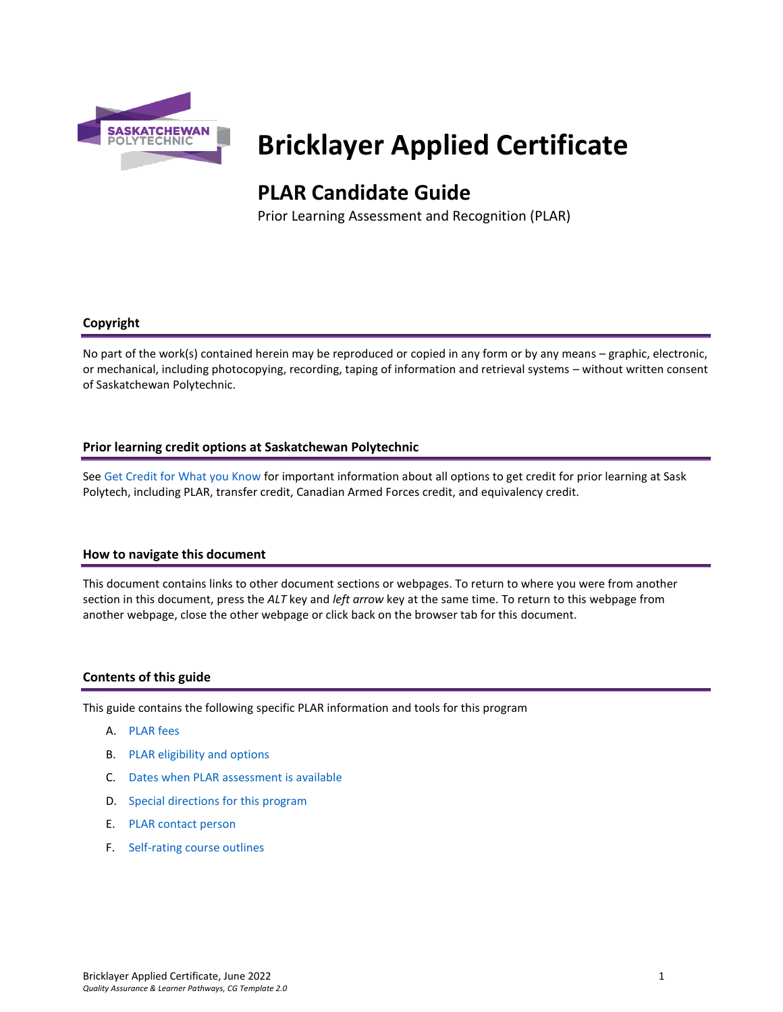

# **Bricklayer Applied Certificate**

# **PLAR Candidate Guide**

Prior Learning Assessment and Recognition (PLAR)

# **Copyright**

No part of the work(s) contained herein may be reproduced or copied in any form or by any means – graphic, electronic, or mechanical, including photocopying, recording, taping of information and retrieval systems – without written consent of Saskatchewan Polytechnic.

# **Prior learning credit options at Saskatchewan Polytechnic**

Se[e Get Credit for What you Know](https://saskpolytech.ca/admissions/get-credit/) for important information about all options to get credit for prior learning at Sask Polytech, including PLAR, transfer credit, Canadian Armed Forces credit, and equivalency credit.

# **How to navigate this document**

This document contains links to other document sections or webpages. To return to where you were from another section in this document, press the *ALT* key and *left arrow* key at the same time. To return to this webpage from another webpage, close the other webpage or click back on the browser tab for this document.

# **Contents of this guide**

This guide contains the following specific PLAR information and tools for this program

- A. [PLAR fees](#page-1-0)
- B. [PLAR eligibility and options](#page-1-1)
- C. [Dates when PLAR assessment is available](#page-1-2)
- D. [Special directions for this](#page-1-3) program
- E. PLAR [contact person](#page-2-0)
- F. [Self-rating course outlines](#page-2-1)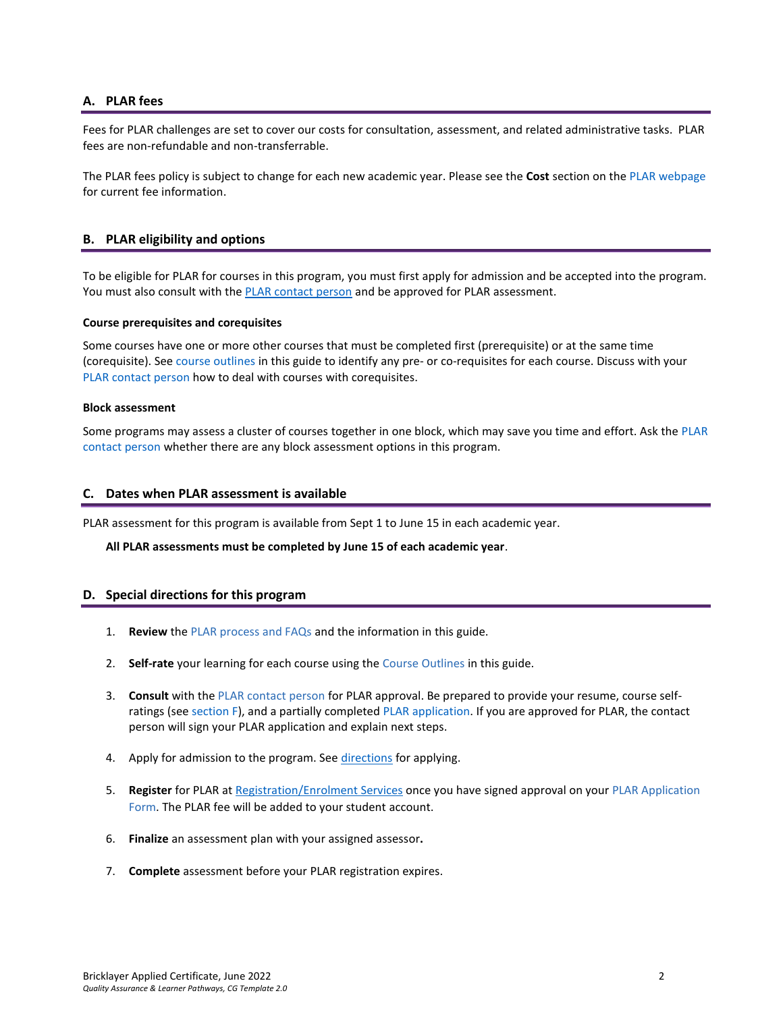# <span id="page-1-0"></span>**A. PLAR fees**

Fees for PLAR challenges are set to cover our costs for consultation, assessment, and related administrative tasks. PLAR fees are non-refundable and non-transferrable.

<span id="page-1-1"></span>The PLAR fees policy is subject to change for each new academic year. Please see the **Cost** section on th[e PLAR webpage](https://saskpolytech.ca/admissions/get-credit/plar.aspx) for current fee information.

# **B. PLAR eligibility and options**

To be eligible for PLAR for courses in this program, you must first apply for admission and be accepted into the program. You must also consult with th[e PLAR contact person](bookmark://PLAR_contact/) and be approved for PLAR assessment.

#### **Course prerequisites and corequisites**

Some courses have one or more other courses that must be completed first (prerequisite) or at the same time (corequisite). See course outlines in this guide to identify any pre- or co-requisites for each course. Discuss with your [PLAR contact person](#page-2-0) how to deal with courses with corequisites.

#### **Block assessment**

<span id="page-1-2"></span>Some programs may assess a cluster of courses together in one block, which may save you time and effort. Ask the [PLAR](#page-2-0)  [contact person](#page-2-0) whether there are any block assessment options in this program.

#### **C. Dates when PLAR assessment is available**

PLAR assessment for this program is available from Sept 1 to June 15 in each academic year.

#### <span id="page-1-3"></span>**All PLAR assessments must be completed by June 15 of each academic year**.

#### **D. Special directions for this program**

- 1. **Review** the [PLAR process and FAQs](https://saskpolytech.ca/admissions/get-credit/plar.aspx) and the information in this guide.
- 2. **Self-rate** your learning for each course using the Course Outlines in this guide.
- 3. **Consult** with th[e PLAR contact person](#page-2-0) for PLAR approval. Be prepared to provide your resume, course selfratings (see section F), and a partially completed [PLAR application.](https://saskpolytech.ca/admissions/resources/documents/plar-application-form.pdf) If you are approved for PLAR, the contact person will sign your PLAR application and explain next steps.
- 4. Apply for admission to the program. See [directions](#page-1-3) for applying.
- 5. **Register** for PLAR at [Registration/Enrolment Services](https://saskpolytech.ca/admissions/resources/contact-us.aspx) once you have signed approval on your [PLAR Application](http://saskpolytech.ca/admissions/resources/documents/plar-application-form.pdf)  [Form.](http://saskpolytech.ca/admissions/resources/documents/plar-application-form.pdf) The PLAR fee will be added to your student account.
- 6. **Finalize** an assessment plan with your assigned assessor**.**
- 7. **Complete** assessment before your PLAR registration expires.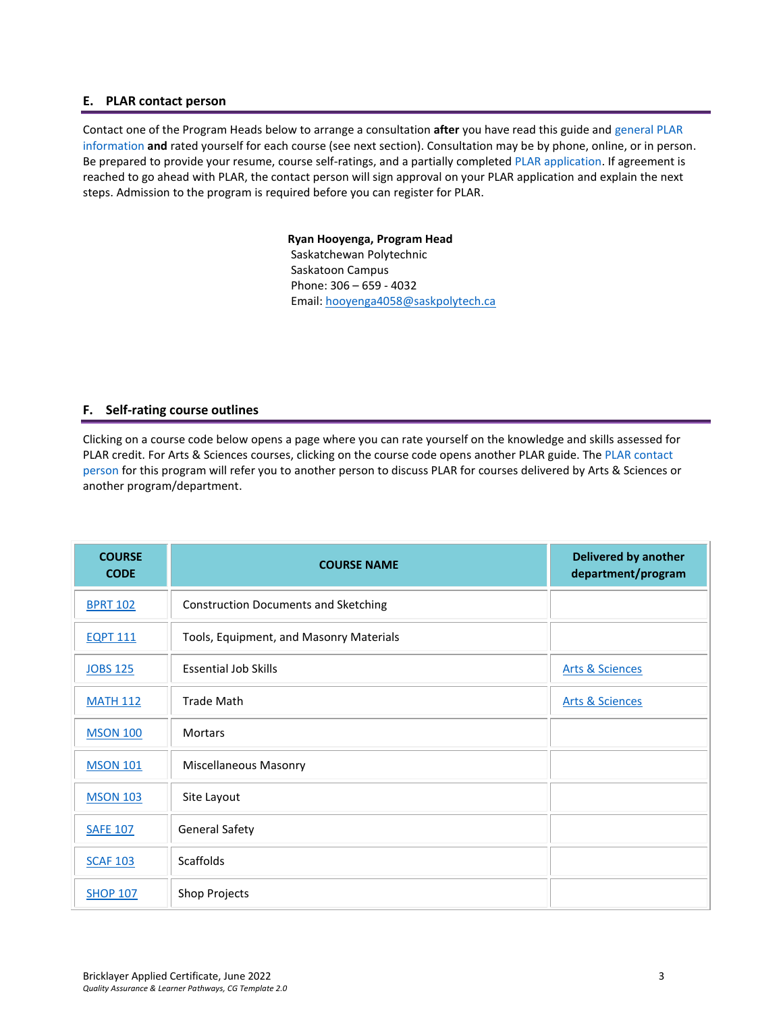# <span id="page-2-0"></span>**E. PLAR contact person**

Contact one of the Program Heads below to arrange a consultation **after** you have read this guide and [general PLAR](http://saskpolytech.ca/admissions/resources/prior-learning-process.aspx)  [information](http://saskpolytech.ca/admissions/resources/prior-learning-process.aspx) **and** rated yourself for each course (see next section). Consultation may be by phone, online, or in person. Be prepared to provide your resume, course self-ratings, and a partially complete[d PLAR application.](https://saskpolytech.ca/admissions/resources/documents/plar-application-form.pdf#search=PLAR%20application) If agreement is reached to go ahead with PLAR, the contact person will sign approval on your PLAR application and explain the next steps. Admission to the program is required before you can register for PLAR.

> **Ryan Hooyenga, Program Head** Saskatchewan Polytechnic Saskatoon Campus Phone: 306 – 659 - 4032 Email: [hooyenga4058@saskpolytech.ca](mailto:hooyenga4058@saskpolytech.ca)

#### <span id="page-2-1"></span>**F. Self-rating course outlines**

Clicking on a course code below opens a page where you can rate yourself on the knowledge and skills assessed for PLAR credit. For Arts & Sciences courses, clicking on the course code opens another PLAR guide. The [PLAR contact](#page-2-0)  [person](#page-2-0) for this program will refer you to another person to discuss PLAR for courses delivered by Arts & Sciences or another program/department.

| <b>COURSE</b><br><b>CODE</b> | <b>COURSE NAME</b>                          | <b>Delivered by another</b><br>department/program |
|------------------------------|---------------------------------------------|---------------------------------------------------|
| <b>BPRT 102</b>              | <b>Construction Documents and Sketching</b> |                                                   |
| <b>EQPT 111</b>              | Tools, Equipment, and Masonry Materials     |                                                   |
| <b>JOBS 125</b>              | <b>Essential Job Skills</b>                 | <b>Arts &amp; Sciences</b>                        |
| <b>MATH 112</b>              | <b>Trade Math</b>                           | <b>Arts &amp; Sciences</b>                        |
| <b>MSON 100</b>              | <b>Mortars</b>                              |                                                   |
| <b>MSON 101</b>              | <b>Miscellaneous Masonry</b>                |                                                   |
| <b>MSON 103</b>              | Site Layout                                 |                                                   |
| <b>SAFE 107</b>              | <b>General Safety</b>                       |                                                   |
| <b>SCAF 103</b>              | <b>Scaffolds</b>                            |                                                   |
| <b>SHOP 107</b>              | Shop Projects                               |                                                   |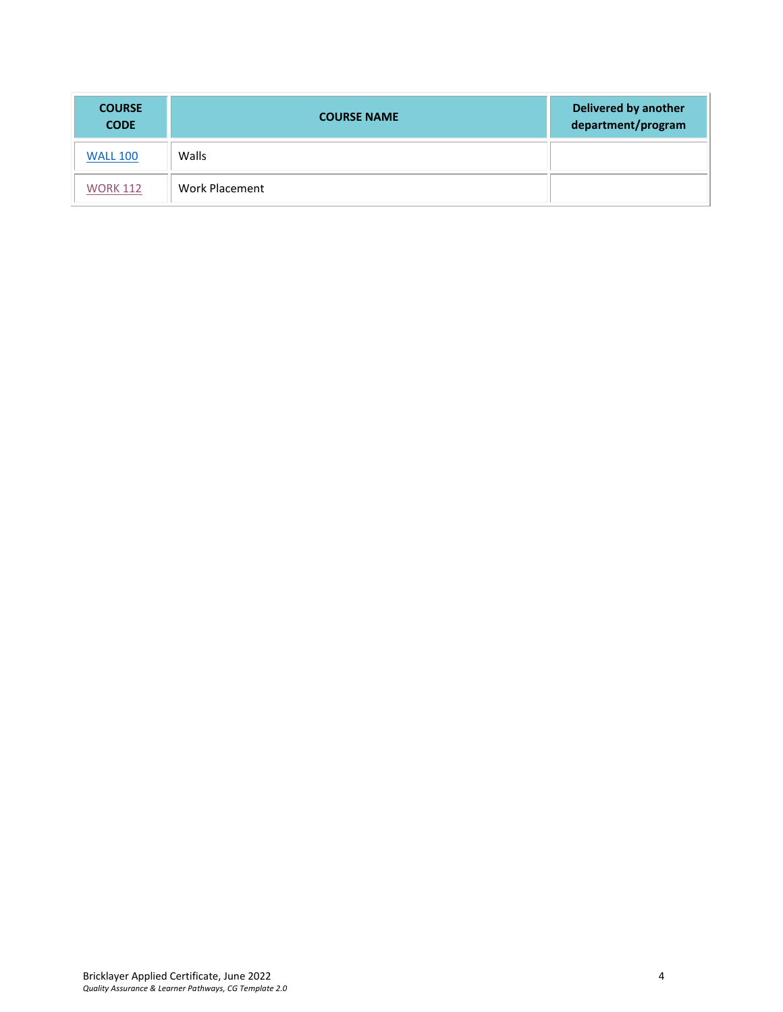| <b>COURSE</b><br><b>CODE</b> | <b>COURSE NAME</b> | Delivered by another<br>department/program |
|------------------------------|--------------------|--------------------------------------------|
| <b>WALL 100</b>              | Walls              |                                            |
| <b>WORK 112</b>              | Work Placement     |                                            |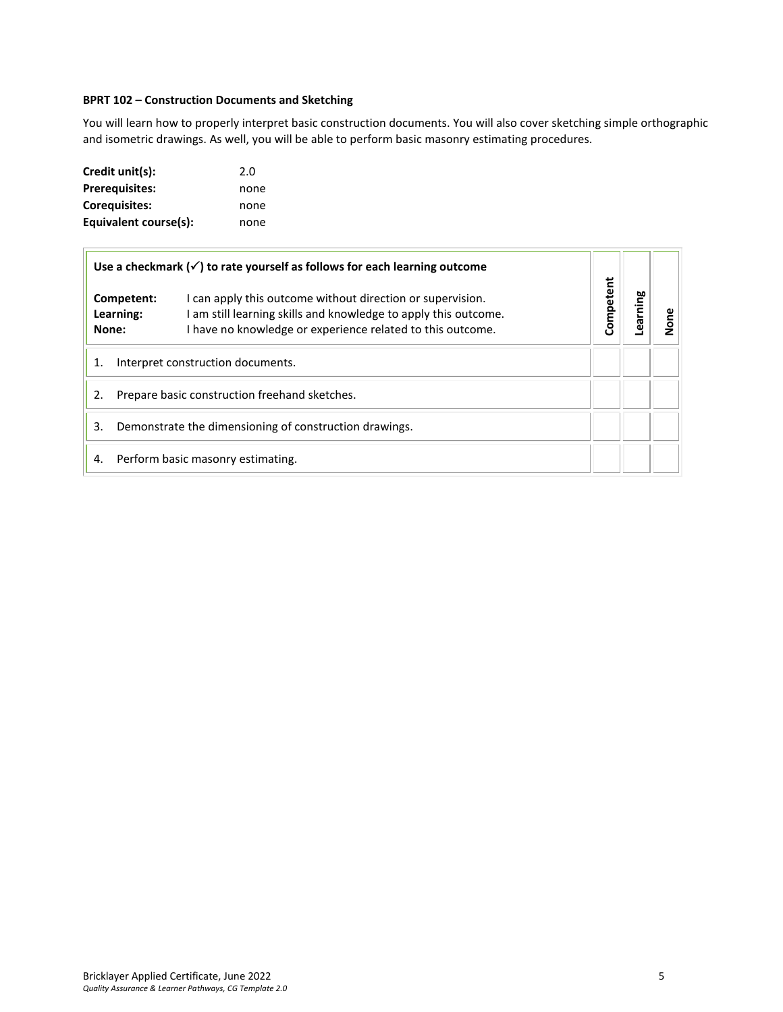# <span id="page-4-0"></span>**BPRT 102 – Construction Documents and Sketching**

You will learn how to properly interpret basic construction documents. You will also cover sketching simple orthographic and isometric drawings. As well, you will be able to perform basic masonry estimating procedures.

| Credit unit(s):       | 2.0  |
|-----------------------|------|
| <b>Prerequisites:</b> | none |
| Corequisites:         | none |
| Equivalent course(s): | none |

|                                               | Use a checkmark $(\checkmark)$ to rate yourself as follows for each learning outcome                                                                                                        |           |         |   |
|-----------------------------------------------|---------------------------------------------------------------------------------------------------------------------------------------------------------------------------------------------|-----------|---------|---|
| Competent:<br>Learning:<br>None:              | I can apply this outcome without direction or supervision.<br>I am still learning skills and knowledge to apply this outcome.<br>I have no knowledge or experience related to this outcome. | Competent | earning | ā |
|                                               | Interpret construction documents.                                                                                                                                                           |           |         |   |
| Prepare basic construction freehand sketches. |                                                                                                                                                                                             |           |         |   |
| 3.                                            | Demonstrate the dimensioning of construction drawings.                                                                                                                                      |           |         |   |
| 4.                                            | Perform basic masonry estimating.                                                                                                                                                           |           |         |   |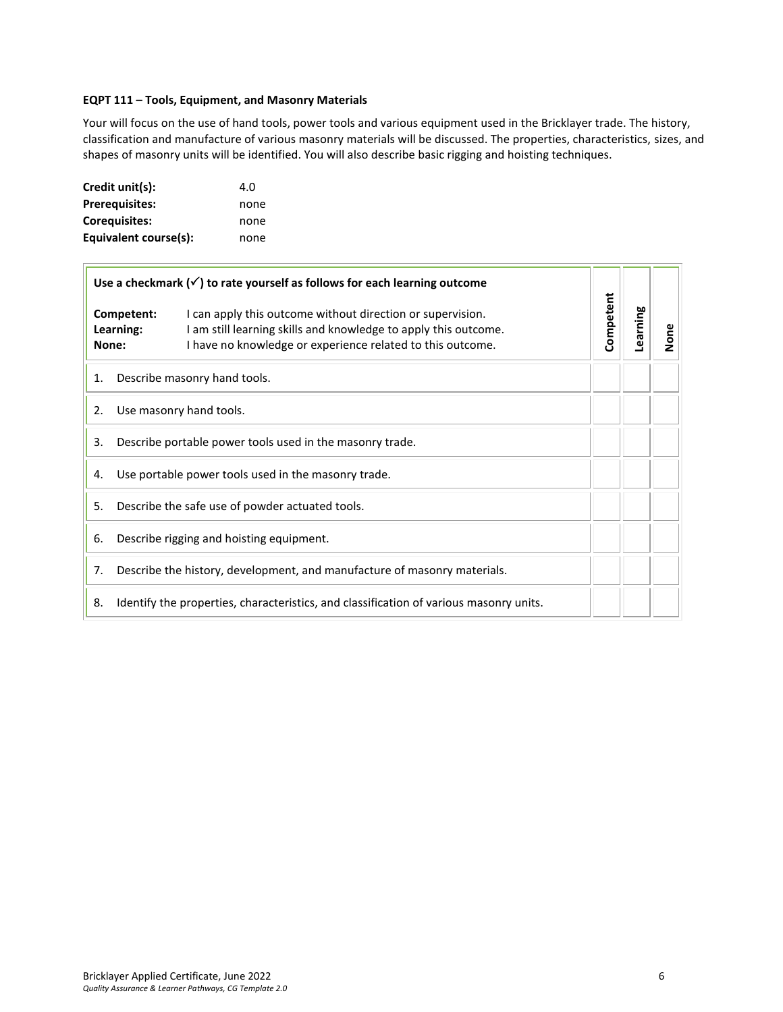#### <span id="page-5-0"></span>**EQPT 111 – Tools, Equipment, and Masonry Materials**

Your will focus on the use of hand tools, power tools and various equipment used in the Bricklayer trade. The history, classification and manufacture of various masonry materials will be discussed. The properties, characteristics, sizes, and shapes of masonry units will be identified. You will also describe basic rigging and hoisting techniques.

| Credit unit(s):       | 4.O  |
|-----------------------|------|
| <b>Prerequisites:</b> | none |
| <b>Corequisites:</b>  | none |
| Equivalent course(s): | none |

| Use a checkmark $(\checkmark)$ to rate yourself as follows for each learning outcome |                                  |                                                                                                                                                                                             |           |          |      |
|--------------------------------------------------------------------------------------|----------------------------------|---------------------------------------------------------------------------------------------------------------------------------------------------------------------------------------------|-----------|----------|------|
|                                                                                      | Competent:<br>Learning:<br>None: | I can apply this outcome without direction or supervision.<br>I am still learning skills and knowledge to apply this outcome.<br>I have no knowledge or experience related to this outcome. | Competent | Learning | None |
| 1.                                                                                   |                                  | Describe masonry hand tools.                                                                                                                                                                |           |          |      |
| 2.                                                                                   |                                  | Use masonry hand tools.                                                                                                                                                                     |           |          |      |
| 3.                                                                                   |                                  | Describe portable power tools used in the masonry trade.                                                                                                                                    |           |          |      |
| 4.                                                                                   |                                  | Use portable power tools used in the masonry trade.                                                                                                                                         |           |          |      |
| 5.                                                                                   |                                  | Describe the safe use of powder actuated tools.                                                                                                                                             |           |          |      |
| 6.                                                                                   |                                  | Describe rigging and hoisting equipment.                                                                                                                                                    |           |          |      |
| 7.                                                                                   |                                  | Describe the history, development, and manufacture of masonry materials.                                                                                                                    |           |          |      |
| 8.                                                                                   |                                  | Identify the properties, characteristics, and classification of various masonry units.                                                                                                      |           |          |      |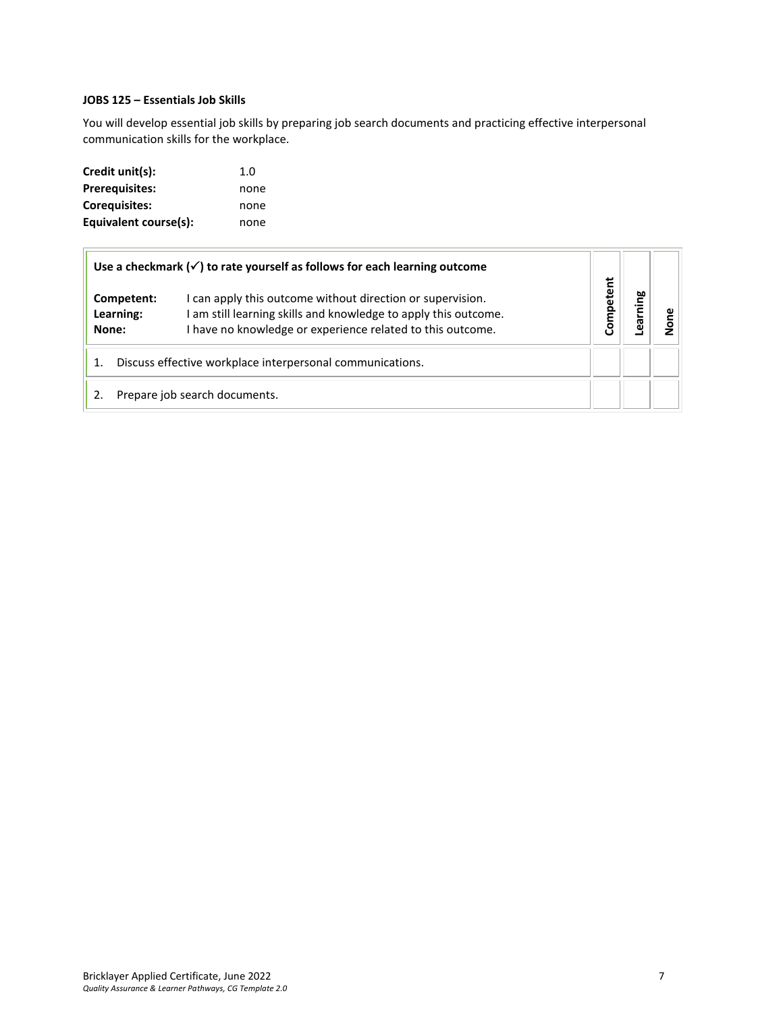# <span id="page-6-0"></span>**JOBS 125 – Essentials Job Skills**

You will develop essential job skills by preparing job search documents and practicing effective interpersonal communication skills for the workplace.

| Credit unit(s):       | 1.0  |
|-----------------------|------|
| <b>Prerequisites:</b> | none |
| Corequisites:         | none |
| Equivalent course(s): | none |

| Use a checkmark $(\checkmark)$ to rate yourself as follows for each learning outcome |                                                                                                                                                                                             |          |      |  |
|--------------------------------------------------------------------------------------|---------------------------------------------------------------------------------------------------------------------------------------------------------------------------------------------|----------|------|--|
| Competent:<br>Learning:<br>None:                                                     | I can apply this outcome without direction or supervision.<br>I am still learning skills and knowledge to apply this outcome.<br>I have no knowledge or experience related to this outcome. | ompetent | ning |  |
| 1.                                                                                   | Discuss effective workplace interpersonal communications.                                                                                                                                   |          |      |  |
|                                                                                      | Prepare job search documents.                                                                                                                                                               |          |      |  |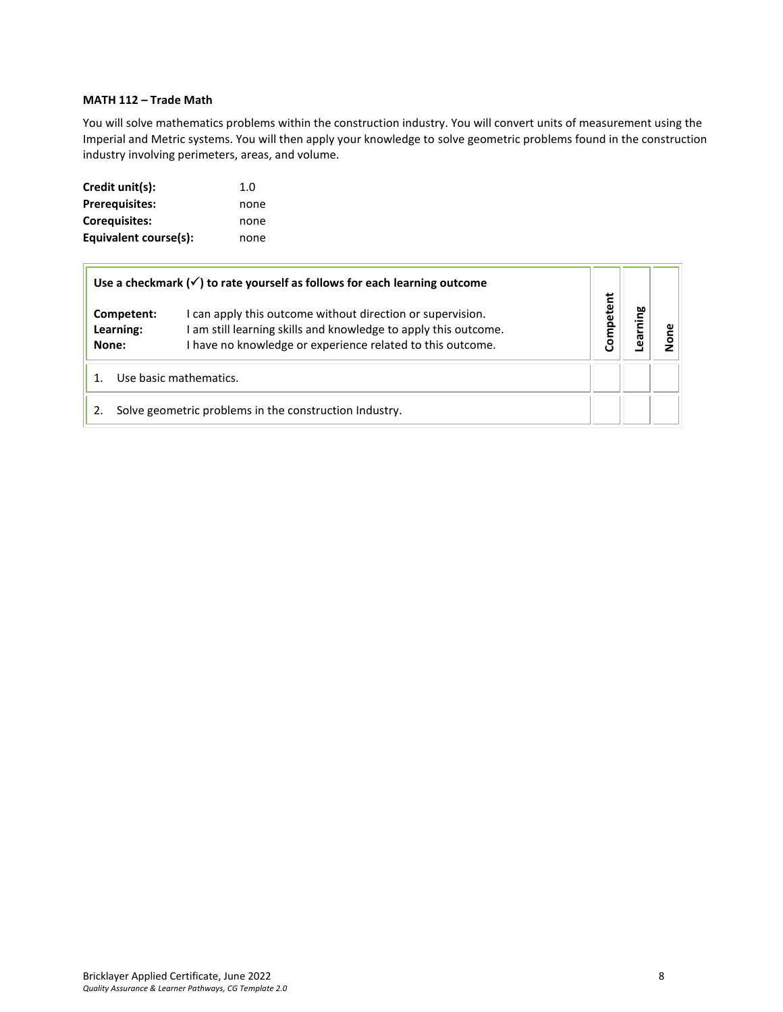# <span id="page-7-0"></span>**MATH 112 – Trade Math**

You will solve mathematics problems within the construction industry. You will convert units of measurement using the Imperial and Metric systems. You will then apply your knowledge to solve geometric problems found in the construction industry involving perimeters, areas, and volume.

| Credit unit(s):       | 1.0  |
|-----------------------|------|
| <b>Prerequisites:</b> | none |
| <b>Corequisites:</b>  | none |
| Equivalent course(s): | none |

|       |                         | Use a checkmark $(\checkmark)$ to rate yourself as follows for each learning outcome                                                                                                        |           |            |  |
|-------|-------------------------|---------------------------------------------------------------------------------------------------------------------------------------------------------------------------------------------|-----------|------------|--|
| None: | Competent:<br>Learning: | I can apply this outcome without direction or supervision.<br>I am still learning skills and knowledge to apply this outcome.<br>I have no knowledge or experience related to this outcome. | Competent | ming<br>థె |  |
|       |                         | Use basic mathematics.                                                                                                                                                                      |           |            |  |
|       |                         | Solve geometric problems in the construction Industry.                                                                                                                                      |           |            |  |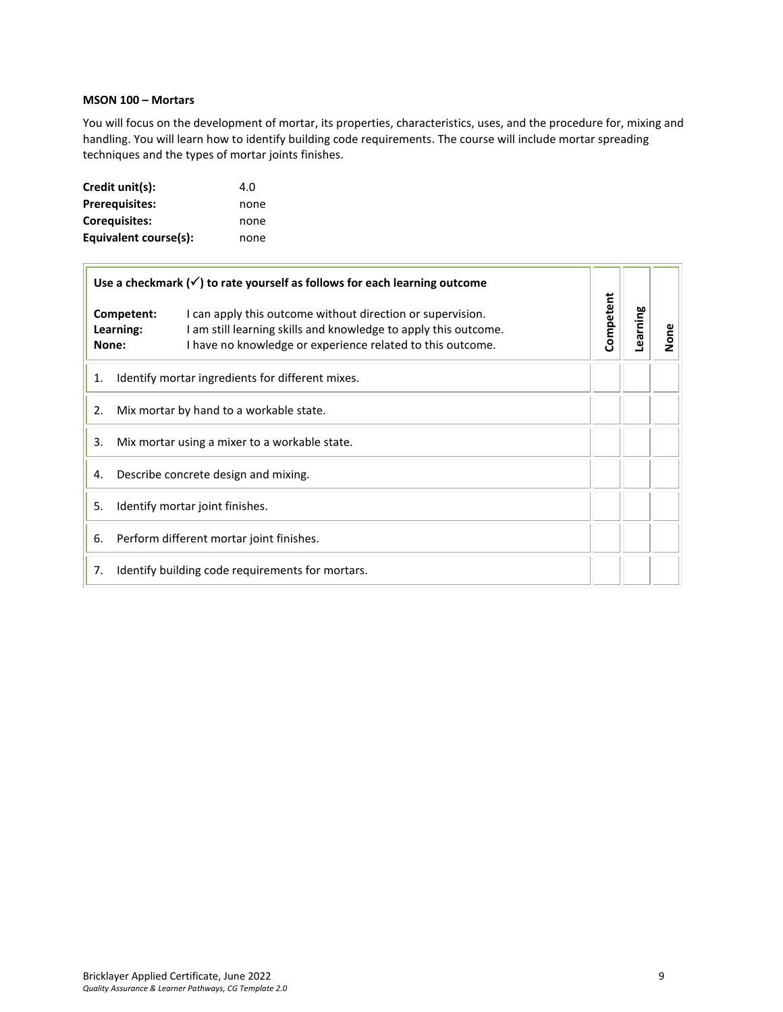# <span id="page-8-0"></span>**MSON 100 – Mortars**

 $\overline{1}$ 

You will focus on the development of mortar, its properties, characteristics, uses, and the procedure for, mixing and handling. You will learn how to identify building code requirements. The course will include mortar spreading techniques and the types of mortar joints finishes.

| Credit unit(s):       | 4.O  |
|-----------------------|------|
| <b>Prerequisites:</b> | none |
| Corequisites:         | none |
| Equivalent course(s): | none |

| Use a checkmark $(\checkmark)$ to rate yourself as follows for each learning outcome |                                                                                                                                                                                             |           |          |      |
|--------------------------------------------------------------------------------------|---------------------------------------------------------------------------------------------------------------------------------------------------------------------------------------------|-----------|----------|------|
| Competent:<br>Learning:<br>None:                                                     | I can apply this outcome without direction or supervision.<br>I am still learning skills and knowledge to apply this outcome.<br>I have no knowledge or experience related to this outcome. | Competent | Learning | None |
| 1.                                                                                   | Identify mortar ingredients for different mixes.                                                                                                                                            |           |          |      |
| 2.                                                                                   | Mix mortar by hand to a workable state.                                                                                                                                                     |           |          |      |
| 3.                                                                                   | Mix mortar using a mixer to a workable state.                                                                                                                                               |           |          |      |
| 4.                                                                                   | Describe concrete design and mixing.                                                                                                                                                        |           |          |      |
| 5.                                                                                   | Identify mortar joint finishes.                                                                                                                                                             |           |          |      |
| 6.                                                                                   | Perform different mortar joint finishes.                                                                                                                                                    |           |          |      |
| 7.                                                                                   | Identify building code requirements for mortars.                                                                                                                                            |           |          |      |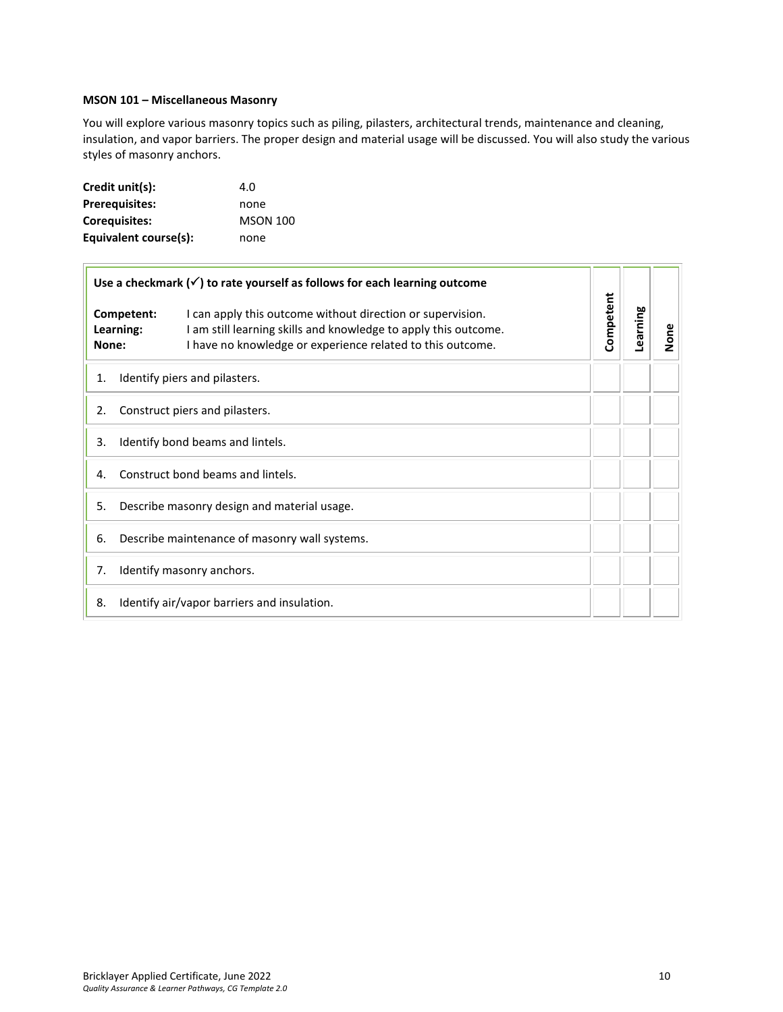# <span id="page-9-0"></span>**MSON 101 – Miscellaneous Masonry**

You will explore various masonry topics such as piling, pilasters, architectural trends, maintenance and cleaning, insulation, and vapor barriers. The proper design and material usage will be discussed. You will also study the various styles of masonry anchors.

| Credit unit(s):       | 4.O             |
|-----------------------|-----------------|
| <b>Prerequisites:</b> | none            |
| Coreguisites:         | <b>MSON 100</b> |
| Equivalent course(s): | none            |

| Use a checkmark $(\checkmark)$ to rate yourself as follows for each learning outcome |                                                                                                                                                                                             |           |          |      |
|--------------------------------------------------------------------------------------|---------------------------------------------------------------------------------------------------------------------------------------------------------------------------------------------|-----------|----------|------|
| Competent:<br>Learning:<br>None:                                                     | I can apply this outcome without direction or supervision.<br>I am still learning skills and knowledge to apply this outcome.<br>I have no knowledge or experience related to this outcome. | Competent | Learning | None |
| 1.                                                                                   | Identify piers and pilasters.                                                                                                                                                               |           |          |      |
| 2.                                                                                   | Construct piers and pilasters.                                                                                                                                                              |           |          |      |
| Identify bond beams and lintels.<br>3.                                               |                                                                                                                                                                                             |           |          |      |
| Construct bond beams and lintels.<br>4.                                              |                                                                                                                                                                                             |           |          |      |
| Describe masonry design and material usage.<br>5.                                    |                                                                                                                                                                                             |           |          |      |
| Describe maintenance of masonry wall systems.<br>6.                                  |                                                                                                                                                                                             |           |          |      |
| 7.                                                                                   | Identify masonry anchors.                                                                                                                                                                   |           |          |      |
| 8.                                                                                   | Identify air/vapor barriers and insulation.                                                                                                                                                 |           |          |      |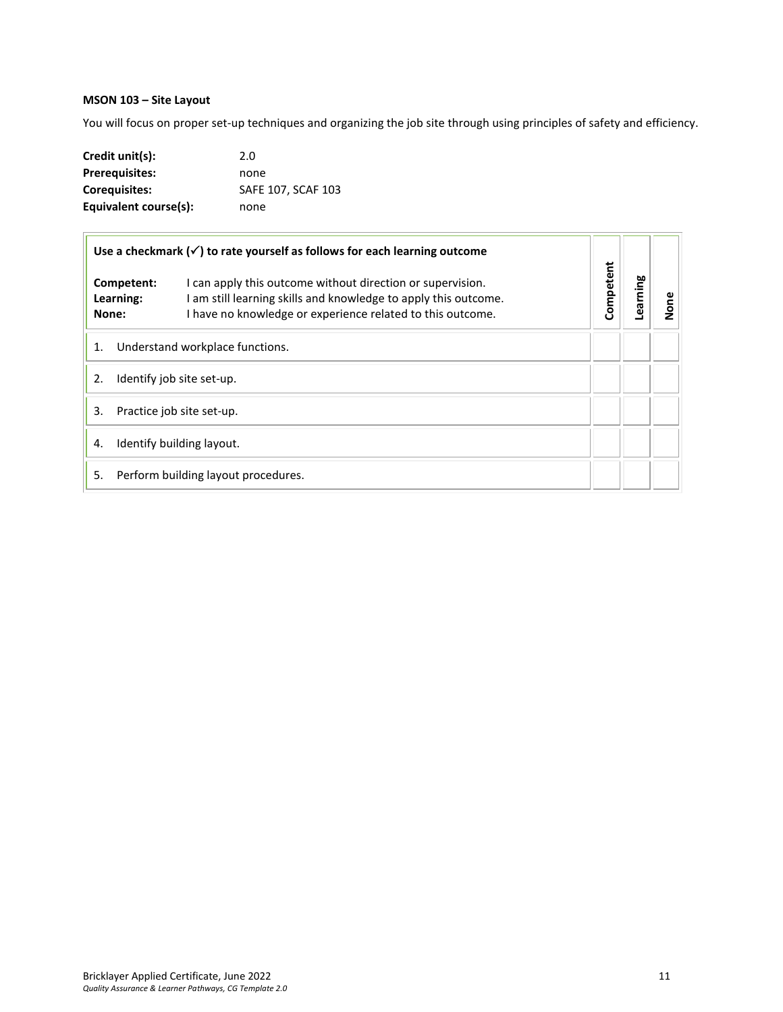# <span id="page-10-0"></span>**MSON 103 – Site Layout**

You will focus on proper set-up techniques and organizing the job site through using principles of safety and efficiency.

| Credit unit(s):       | 2.0                |
|-----------------------|--------------------|
| <b>Prerequisites:</b> | none               |
| <b>Coreguisites:</b>  | SAFE 107, SCAF 103 |
| Equivalent course(s): | none               |

| Use a checkmark $(\checkmark)$ to rate yourself as follows for each learning outcome |                                  |                                                                                                                                                                                             |           |          |      |
|--------------------------------------------------------------------------------------|----------------------------------|---------------------------------------------------------------------------------------------------------------------------------------------------------------------------------------------|-----------|----------|------|
|                                                                                      | Competent:<br>Learning:<br>None: | I can apply this outcome without direction or supervision.<br>I am still learning skills and knowledge to apply this outcome.<br>I have no knowledge or experience related to this outcome. | Competent | earning. | None |
| 1.<br>Understand workplace functions.                                                |                                  |                                                                                                                                                                                             |           |          |      |
| 2.<br>Identify job site set-up.                                                      |                                  |                                                                                                                                                                                             |           |          |      |
| 3.<br>Practice job site set-up.                                                      |                                  |                                                                                                                                                                                             |           |          |      |
| Identify building layout.<br>4.                                                      |                                  |                                                                                                                                                                                             |           |          |      |
| 5.                                                                                   |                                  | Perform building layout procedures.                                                                                                                                                         |           |          |      |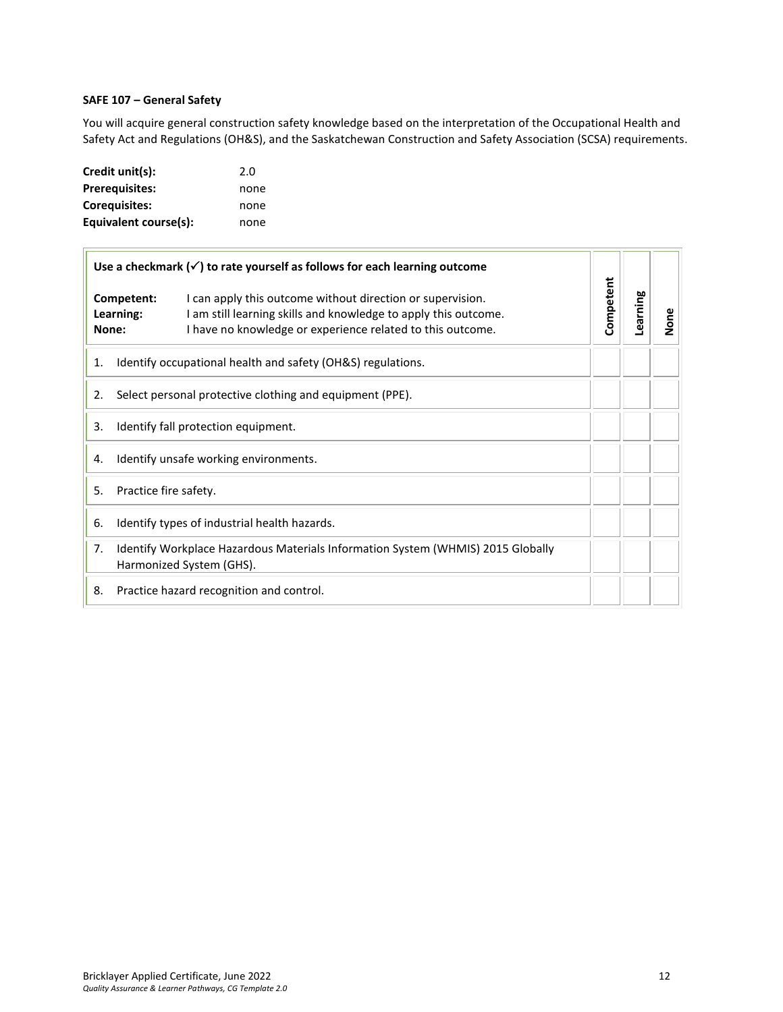# <span id="page-11-0"></span>**SAFE 107 – General Safety**

You will acquire general construction safety knowledge based on the interpretation of the Occupational Health and Safety Act and Regulations (OH&S), and the Saskatchewan Construction and Safety Association (SCSA) requirements.

| Credit unit(s):       | 2.0  |
|-----------------------|------|
| <b>Prerequisites:</b> | none |
| <b>Corequisites:</b>  | none |
| Equivalent course(s): | none |

| Use a checkmark $(\checkmark)$ to rate yourself as follows for each learning outcome |                                                                                                                                                                                                                        |           |          |           |
|--------------------------------------------------------------------------------------|------------------------------------------------------------------------------------------------------------------------------------------------------------------------------------------------------------------------|-----------|----------|-----------|
| None:                                                                                | Competent:<br>I can apply this outcome without direction or supervision.<br>I am still learning skills and knowledge to apply this outcome.<br>Learning:<br>I have no knowledge or experience related to this outcome. | Competent | Learning | <b>Di</b> |
| 1.                                                                                   | Identify occupational health and safety (OH&S) regulations.                                                                                                                                                            |           |          |           |
| 2.                                                                                   | Select personal protective clothing and equipment (PPE).                                                                                                                                                               |           |          |           |
| Identify fall protection equipment.<br>3.                                            |                                                                                                                                                                                                                        |           |          |           |
| Identify unsafe working environments.<br>4.                                          |                                                                                                                                                                                                                        |           |          |           |
| Practice fire safety.<br>5.                                                          |                                                                                                                                                                                                                        |           |          |           |
| 6.                                                                                   | Identify types of industrial health hazards.                                                                                                                                                                           |           |          |           |
| 7.                                                                                   | Identify Workplace Hazardous Materials Information System (WHMIS) 2015 Globally<br>Harmonized System (GHS).                                                                                                            |           |          |           |
| 8.                                                                                   | Practice hazard recognition and control.                                                                                                                                                                               |           |          |           |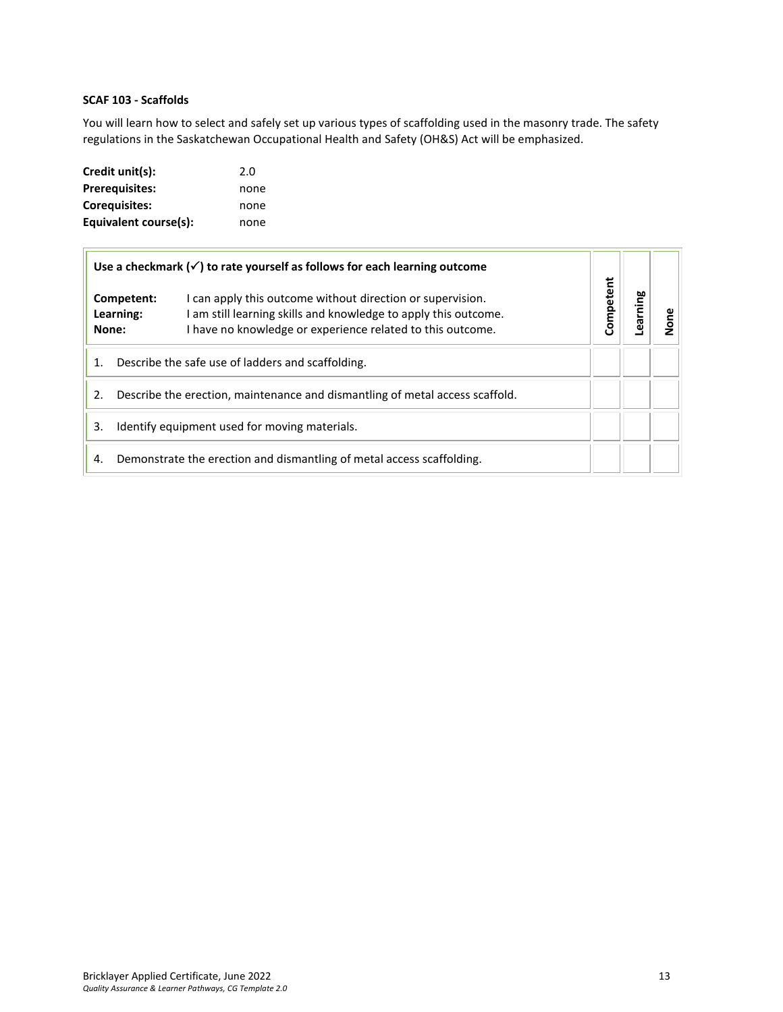# <span id="page-12-0"></span>**SCAF 103 - Scaffolds**

You will learn how to select and safely set up various types of scaffolding used in the masonry trade. The safety regulations in the Saskatchewan Occupational Health and Safety (OH&S) Act will be emphasized.

| Credit unit(s):       | 2.0  |
|-----------------------|------|
| <b>Prerequisites:</b> | none |
| <b>Corequisites:</b>  | none |
| Equivalent course(s): | none |

|                                                                                    |                         | Use a checkmark $(\checkmark)$ to rate yourself as follows for each learning outcome                                                                                                        |           |         |  |
|------------------------------------------------------------------------------------|-------------------------|---------------------------------------------------------------------------------------------------------------------------------------------------------------------------------------------|-----------|---------|--|
| None:                                                                              | Competent:<br>Learning: | I can apply this outcome without direction or supervision.<br>I am still learning skills and knowledge to apply this outcome.<br>I have no knowledge or experience related to this outcome. | Competent | earning |  |
| Describe the safe use of ladders and scaffolding.<br>1.                            |                         |                                                                                                                                                                                             |           |         |  |
| Describe the erection, maintenance and dismantling of metal access scaffold.<br>2. |                         |                                                                                                                                                                                             |           |         |  |
| Identify equipment used for moving materials.<br>3.                                |                         |                                                                                                                                                                                             |           |         |  |
| 4.                                                                                 |                         | Demonstrate the erection and dismantling of metal access scaffolding.                                                                                                                       |           |         |  |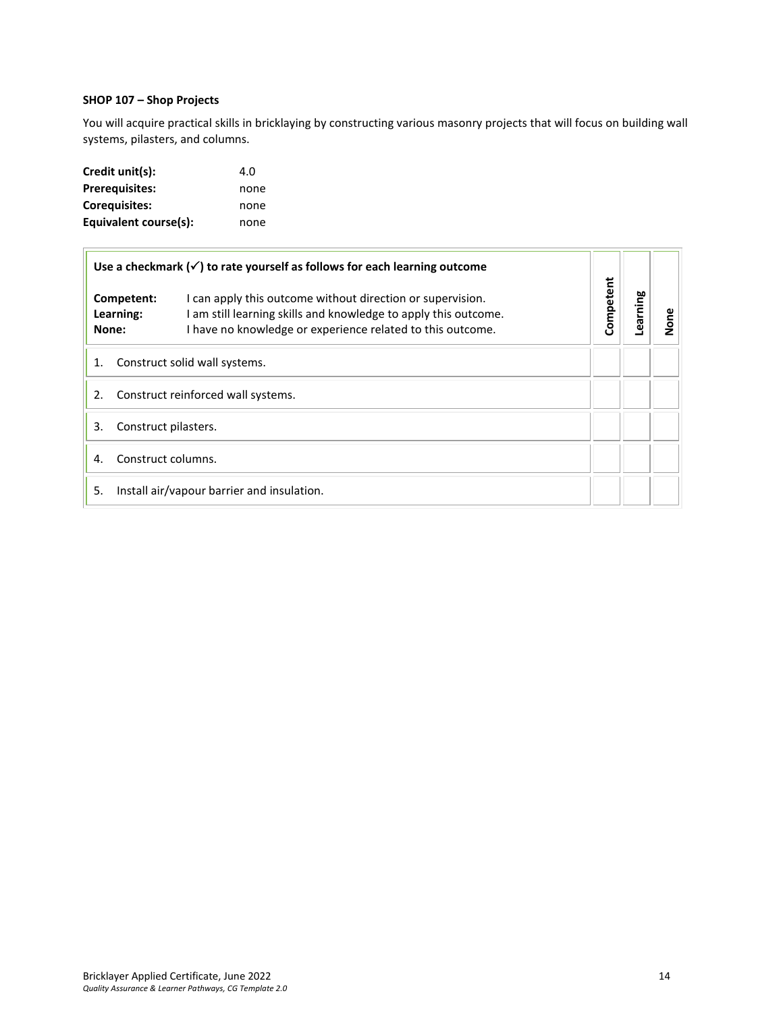# <span id="page-13-0"></span>**SHOP 107 – Shop Projects**

You will acquire practical skills in bricklaying by constructing various masonry projects that will focus on building wall systems, pilasters, and columns.

| Credit unit(s):       | 4.O  |
|-----------------------|------|
| <b>Prerequisites:</b> | none |
| Coreguisites:         | none |
| Equivalent course(s): | none |

| Use a checkmark $(\checkmark)$ to rate yourself as follows for each learning outcome |                                                                                                                                                                                             |           |          |      |
|--------------------------------------------------------------------------------------|---------------------------------------------------------------------------------------------------------------------------------------------------------------------------------------------|-----------|----------|------|
| Competent:<br>Learning:<br>None:                                                     | I can apply this outcome without direction or supervision.<br>I am still learning skills and knowledge to apply this outcome.<br>I have no knowledge or experience related to this outcome. | Competent | Learning | None |
| Construct solid wall systems.<br>1.                                                  |                                                                                                                                                                                             |           |          |      |
| Construct reinforced wall systems.<br>2.                                             |                                                                                                                                                                                             |           |          |      |
| Construct pilasters.<br>3.                                                           |                                                                                                                                                                                             |           |          |      |
| Construct columns.<br>4.                                                             |                                                                                                                                                                                             |           |          |      |
| 5.                                                                                   | Install air/vapour barrier and insulation.                                                                                                                                                  |           |          |      |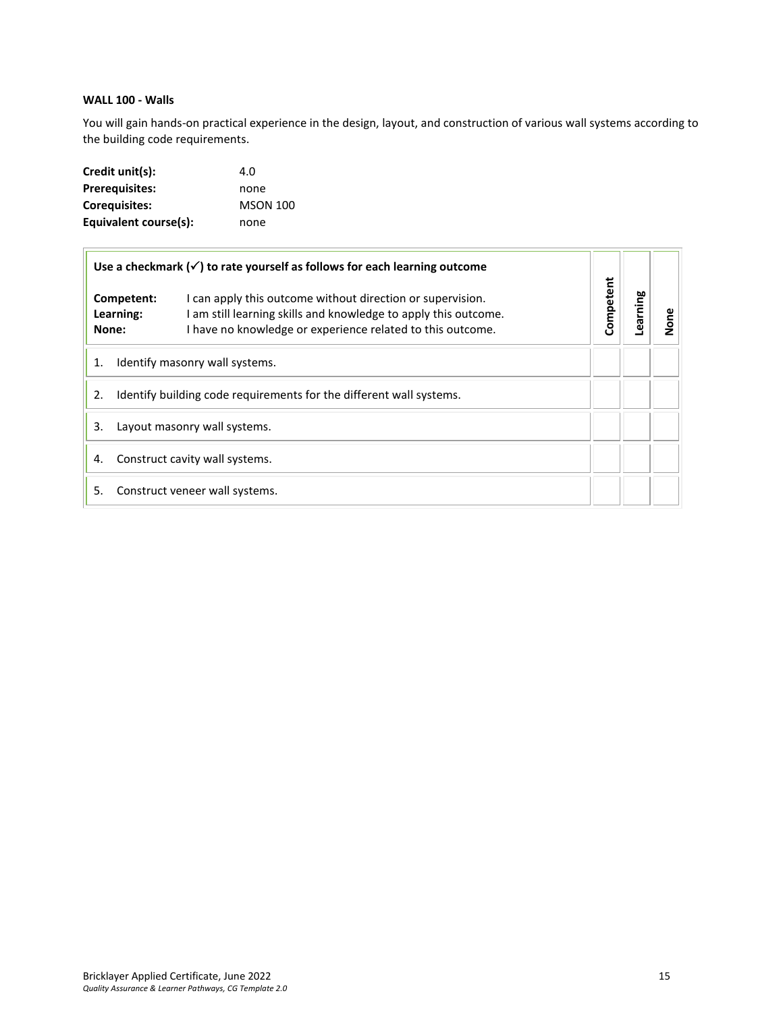# <span id="page-14-0"></span>**WALL 100 - Walls**

You will gain hands-on practical experience in the design, layout, and construction of various wall systems according to the building code requirements.

| Credit unit(s):       | 4.0             |
|-----------------------|-----------------|
| <b>Prerequisites:</b> | none            |
| Coreguisites:         | <b>MSON 100</b> |
| Equivalent course(s): | none            |

|                                                                           | Use a checkmark $(\checkmark)$ to rate yourself as follows for each learning outcome                                                                                                        |           |         |      |
|---------------------------------------------------------------------------|---------------------------------------------------------------------------------------------------------------------------------------------------------------------------------------------|-----------|---------|------|
| Competent:<br>Learning:<br>None:                                          | I can apply this outcome without direction or supervision.<br>I am still learning skills and knowledge to apply this outcome.<br>I have no knowledge or experience related to this outcome. | Competent | earning | None |
| Identify masonry wall systems.<br>1.                                      |                                                                                                                                                                                             |           |         |      |
| Identify building code requirements for the different wall systems.<br>2. |                                                                                                                                                                                             |           |         |      |
| 3.<br>Layout masonry wall systems.                                        |                                                                                                                                                                                             |           |         |      |
| Construct cavity wall systems.<br>4.                                      |                                                                                                                                                                                             |           |         |      |
| 5.                                                                        | Construct veneer wall systems.                                                                                                                                                              |           |         |      |